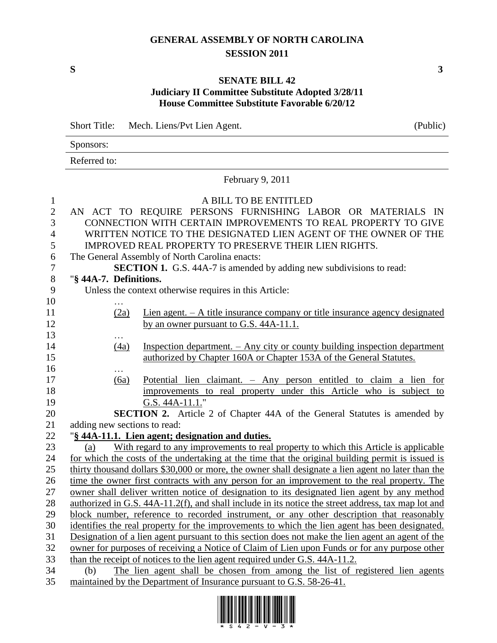## **GENERAL ASSEMBLY OF NORTH CAROLINA SESSION 2011**

## **SENATE BILL 42 Judiciary II Committee Substitute Adopted 3/28/11 House Committee Substitute Favorable 6/20/12**

|                | <b>Short Title:</b>          | Mech. Liens/Pvt Lien Agent.                                                                         | (Public) |
|----------------|------------------------------|-----------------------------------------------------------------------------------------------------|----------|
|                | Sponsors:                    |                                                                                                     |          |
|                | Referred to:                 |                                                                                                     |          |
|                |                              | February 9, 2011                                                                                    |          |
| $\mathbf{1}$   |                              | A BILL TO BE ENTITLED                                                                               |          |
| $\mathbf{2}$   |                              | AN ACT TO REQUIRE PERSONS FURNISHING LABOR OR MATERIALS IN                                          |          |
| 3              |                              | CONNECTION WITH CERTAIN IMPROVEMENTS TO REAL PROPERTY TO GIVE                                       |          |
| $\overline{4}$ |                              | WRITTEN NOTICE TO THE DESIGNATED LIEN AGENT OF THE OWNER OF THE                                     |          |
| 5              |                              | IMPROVED REAL PROPERTY TO PRESERVE THEIR LIEN RIGHTS.                                               |          |
| 6              |                              | The General Assembly of North Carolina enacts:                                                      |          |
| $\tau$         |                              | <b>SECTION 1.</b> G.S. 44A-7 is amended by adding new subdivisions to read:                         |          |
| $8\,$          | "§ 44A-7. Definitions.       |                                                                                                     |          |
| 9              |                              | Unless the context otherwise requires in this Article:                                              |          |
| 10             | $\cdots$                     |                                                                                                     |          |
| 11             | (2a)                         | Lien agent. $-A$ title insurance company or title insurance agency designated                       |          |
| 12             |                              | by an owner pursuant to G.S. 44A-11.1.                                                              |          |
| 13             |                              |                                                                                                     |          |
| 14             | (4a)                         | Inspection department. - Any city or county building inspection department                          |          |
| 15             |                              | authorized by Chapter 160A or Chapter 153A of the General Statutes.                                 |          |
| 16             |                              |                                                                                                     |          |
| 17             | (6a)                         | Potential lien claimant. $-$ Any person entitled to claim a lien for                                |          |
| 18             |                              | improvements to real property under this Article who is subject to                                  |          |
| 19<br>20       |                              | G.S. 44A-11.1."<br><b>SECTION 2.</b> Article 2 of Chapter 44A of the General Statutes is amended by |          |
| 21             | adding new sections to read: |                                                                                                     |          |
| 22             |                              | "§ 44A-11.1. Lien agent; designation and duties.                                                    |          |
| 23             | (a)                          | With regard to any improvements to real property to which this Article is applicable                |          |
| 24             |                              | for which the costs of the undertaking at the time that the original building permit is issued is   |          |
| 25             |                              | thirty thousand dollars \$30,000 or more, the owner shall designate a lien agent no later than the  |          |
| 26             |                              | time the owner first contracts with any person for an improvement to the real property. The         |          |
| 27             |                              | owner shall deliver written notice of designation to its designated lien agent by any method        |          |
| 28             |                              | authorized in G.S. 44A-11.2(f), and shall include in its notice the street address, tax map lot and |          |
| 29             |                              | block number, reference to recorded instrument, or any other description that reasonably            |          |
| 30             |                              | identifies the real property for the improvements to which the lien agent has been designated.      |          |
| 31             |                              | Designation of a lien agent pursuant to this section does not make the lien agent an agent of the   |          |
| 32             |                              | owner for purposes of receiving a Notice of Claim of Lien upon Funds or for any purpose other       |          |
| 33             |                              | than the receipt of notices to the lien agent required under G.S. 44A-11.2.                         |          |
| 34             | (b)                          | The lien agent shall be chosen from among the list of registered lien agents                        |          |
| 35             |                              | maintained by the Department of Insurance pursuant to G.S. 58-26-41.                                |          |

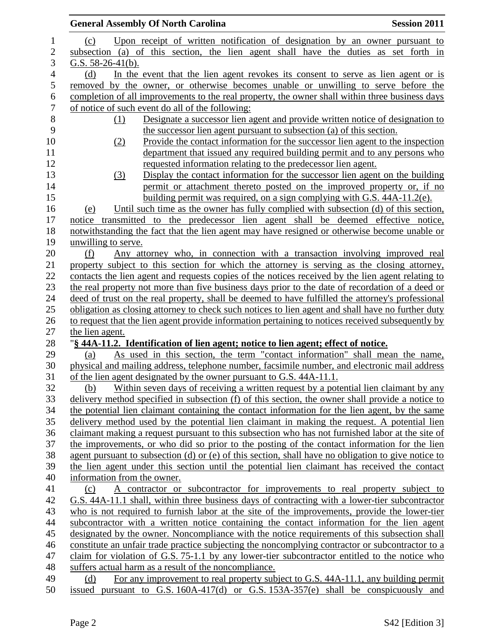|                |                             | <b>General Assembly Of North Carolina</b>                                                                                                                                                           | <b>Session 2011</b> |
|----------------|-----------------------------|-----------------------------------------------------------------------------------------------------------------------------------------------------------------------------------------------------|---------------------|
| $\mathbf{1}$   | (c)                         | Upon receipt of written notification of designation by an owner pursuant to                                                                                                                         |                     |
| $\overline{c}$ |                             | subsection (a) of this section, the lien agent shall have the duties as set forth in                                                                                                                |                     |
| 3              | G.S. $58-26-41(b)$ .        |                                                                                                                                                                                                     |                     |
| 4              | (d)                         | In the event that the lien agent revokes its consent to serve as lien agent or is                                                                                                                   |                     |
| 5              |                             | removed by the owner, or otherwise becomes unable or unwilling to serve before the                                                                                                                  |                     |
| 6              |                             | completion of all improvements to the real property, the owner shall within three business days                                                                                                     |                     |
| $\overline{7}$ |                             | of notice of such event do all of the following:                                                                                                                                                    |                     |
| $8\,$          | (1)                         | Designate a successor lien agent and provide written notice of designation to                                                                                                                       |                     |
| 9              |                             | the successor lien agent pursuant to subsection (a) of this section.                                                                                                                                |                     |
| 10             | (2)                         | Provide the contact information for the successor lien agent to the inspection                                                                                                                      |                     |
| 11             |                             | department that issued any required building permit and to any persons who                                                                                                                          |                     |
| 12             |                             | requested information relating to the predecessor lien agent.                                                                                                                                       |                     |
| 13             | (3)                         | Display the contact information for the successor lien agent on the building                                                                                                                        |                     |
| 14             |                             | permit or attachment thereto posted on the improved property or, if no                                                                                                                              |                     |
| 15             |                             | building permit was required, on a sign complying with G.S. 44A-11.2(e).                                                                                                                            |                     |
| 16             | (e)                         | Until such time as the owner has fully complied with subsection (d) of this section,                                                                                                                |                     |
| 17<br>18       | notice                      | transmitted to the predecessor lien agent shall be deemed effective notice,                                                                                                                         |                     |
| 19             | unwilling to serve.         | notwithstanding the fact that the lien agent may have resigned or otherwise become unable or                                                                                                        |                     |
| 20             | (f)                         | Any attorney who, in connection with a transaction involving improved real                                                                                                                          |                     |
| 21             |                             | property subject to this section for which the attorney is serving as the closing attorney,                                                                                                         |                     |
| 22             |                             | contacts the lien agent and requests copies of the notices received by the lien agent relating to                                                                                                   |                     |
| 23             |                             | the real property not more than five business days prior to the date of recordation of a deed or                                                                                                    |                     |
| 24             |                             | deed of trust on the real property, shall be deemed to have fulfilled the attorney's professional                                                                                                   |                     |
| 25             |                             | obligation as closing attorney to check such notices to lien agent and shall have no further duty                                                                                                   |                     |
| 26             |                             | to request that the lien agent provide information pertaining to notices received subsequently by                                                                                                   |                     |
| 27             | the lien agent.             |                                                                                                                                                                                                     |                     |
| 28             |                             | "§ 44A-11.2. Identification of lien agent; notice to lien agent; effect of notice.                                                                                                                  |                     |
| 29             | (a)                         | As used in this section, the term "contact information" shall mean the name,                                                                                                                        |                     |
| 30             |                             | physical and mailing address, telephone number, facsimile number, and electronic mail address                                                                                                       |                     |
| 31             |                             | of the lien agent designated by the owner pursuant to G.S. 44A-11.1.                                                                                                                                |                     |
| 32             | (b)                         | Within seven days of receiving a written request by a potential lien claimant by any                                                                                                                |                     |
| 33             |                             | delivery method specified in subsection (f) of this section, the owner shall provide a notice to                                                                                                    |                     |
| 34             |                             | the potential lien claimant containing the contact information for the lien agent, by the same                                                                                                      |                     |
| 35             |                             | delivery method used by the potential lien claimant in making the request. A potential lien                                                                                                         |                     |
| 36             |                             | claimant making a request pursuant to this subsection who has not furnished labor at the site of                                                                                                    |                     |
| 37             |                             | the improvements, or who did so prior to the posting of the contact information for the lien                                                                                                        |                     |
| 38<br>39       |                             | agent pursuant to subsection (d) or (e) of this section, shall have no obligation to give notice to<br>the lien agent under this section until the potential lien claimant has received the contact |                     |
| 40             | information from the owner. |                                                                                                                                                                                                     |                     |
| 41             | (c)                         | A contractor or subcontractor for improvements to real property subject to                                                                                                                          |                     |
| 42             |                             | G.S. 44A-11.1 shall, within three business days of contracting with a lower-tier subcontractor                                                                                                      |                     |
| 43             |                             | who is not required to furnish labor at the site of the improvements, provide the lower-tier                                                                                                        |                     |
| 44             |                             | subcontractor with a written notice containing the contact information for the lien agent                                                                                                           |                     |
| 45             |                             | designated by the owner. Noncompliance with the notice requirements of this subsection shall                                                                                                        |                     |
| 46             |                             | constitute an unfair trade practice subjecting the noncomplying contractor or subcontractor to a                                                                                                    |                     |
| 47             |                             | claim for violation of G.S. 75-1.1 by any lower-tier subcontractor entitled to the notice who                                                                                                       |                     |
| 48             |                             | suffers actual harm as a result of the noncompliance.                                                                                                                                               |                     |
| 49             | (d)                         | For any improvement to real property subject to G.S. 44A-11.1, any building permit                                                                                                                  |                     |
| 50             |                             | issued pursuant to G.S. $160A-417(d)$ or G.S. $153A-357(e)$ shall be conspicuously and                                                                                                              |                     |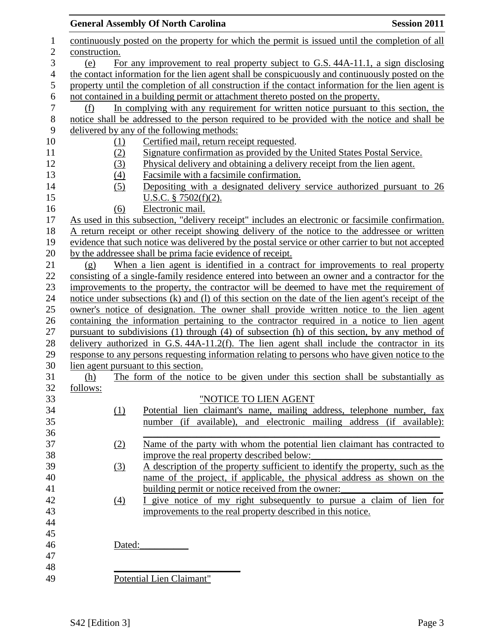|                  |                                      | <b>General Assembly Of North Carolina</b>                                                           | <b>Session 2011</b> |
|------------------|--------------------------------------|-----------------------------------------------------------------------------------------------------|---------------------|
| 1                |                                      | continuously posted on the property for which the permit is issued until the completion of all      |                     |
| $\overline{c}$   | construction.                        |                                                                                                     |                     |
| 3                | (e)                                  | For any improvement to real property subject to G.S. 44A-11.1, a sign disclosing                    |                     |
| $\overline{4}$   |                                      | the contact information for the lien agent shall be conspicuously and continuously posted on the    |                     |
| 5                |                                      | property until the completion of all construction if the contact information for the lien agent is  |                     |
| $\boldsymbol{6}$ |                                      | not contained in a building permit or attachment thereto posted on the property.                    |                     |
| $\boldsymbol{7}$ | (f)                                  | In complying with any requirement for written notice pursuant to this section, the                  |                     |
| $8\,$            |                                      | notice shall be addressed to the person required to be provided with the notice and shall be        |                     |
| 9                |                                      | delivered by any of the following methods:                                                          |                     |
| 10               | <u>(1)</u>                           | Certified mail, return receipt requested.                                                           |                     |
| 11               | (2)                                  | Signature confirmation as provided by the United States Postal Service.                             |                     |
| 12               | (3)                                  | Physical delivery and obtaining a delivery receipt from the lien agent.                             |                     |
| 13               |                                      | Facsimile with a facsimile confirmation.                                                            |                     |
| 14               | (4)                                  |                                                                                                     |                     |
|                  | (5)                                  | Depositing with a designated delivery service authorized pursuant to 26                             |                     |
| 15               |                                      | U.S.C. $§ 7502(f)(2)$ .                                                                             |                     |
| 16               | (6)                                  | Electronic mail.                                                                                    |                     |
| 17               |                                      | As used in this subsection, "delivery receipt" includes an electronic or facsimile confirmation.    |                     |
| 18               |                                      | A return receipt or other receipt showing delivery of the notice to the addressee or written        |                     |
| 19               |                                      | evidence that such notice was delivered by the postal service or other carrier to but not accepted  |                     |
| 20               |                                      | by the addressee shall be prima facie evidence of receipt.                                          |                     |
| 21               | (g)                                  | When a lien agent is identified in a contract for improvements to real property                     |                     |
| 22               |                                      | consisting of a single-family residence entered into between an owner and a contractor for the      |                     |
| 23               |                                      | improvements to the property, the contractor will be deemed to have met the requirement of          |                     |
| 24               |                                      | notice under subsections (k) and (l) of this section on the date of the lien agent's receipt of the |                     |
| 25               |                                      | owner's notice of designation. The owner shall provide written notice to the lien agent             |                     |
| 26               |                                      | containing the information pertaining to the contractor required in a notice to lien agent          |                     |
| 27               |                                      | pursuant to subdivisions (1) through (4) of subsection (h) of this section, by any method of        |                     |
| 28               |                                      | delivery authorized in G.S. $44A-11.2(f)$ . The lien agent shall include the contractor in its      |                     |
| 29               |                                      | response to any persons requesting information relating to persons who have given notice to the     |                     |
| 30               | lien agent pursuant to this section. |                                                                                                     |                     |
| 31               | (h)                                  | The form of the notice to be given under this section shall be substantially as                     |                     |
| 32               | follows:                             |                                                                                                     |                     |
| 33               |                                      | "NOTICE TO LIEN AGENT                                                                               |                     |
| 34               | (1)                                  | Potential lien claimant's name, mailing address, telephone number, fax                              |                     |
| 35               |                                      | number (if available), and electronic mailing address (if available):                               |                     |
| 36               |                                      |                                                                                                     |                     |
| 37               | (2)                                  | Name of the party with whom the potential lien claimant has contracted to                           |                     |
| 38               |                                      | improve the real property described below:                                                          |                     |
| 39               | (3)                                  | A description of the property sufficient to identify the property, such as the                      |                     |
| 40               |                                      | name of the project, if applicable, the physical address as shown on the                            |                     |
| 41               |                                      | building permit or notice received from the owner:                                                  |                     |
| 42               | (4)                                  | I give notice of my right subsequently to pursue a claim of lien for                                |                     |
| 43               |                                      | improvements to the real property described in this notice.                                         |                     |
| 44               |                                      |                                                                                                     |                     |
| 45               |                                      |                                                                                                     |                     |
| 46               | Dated:                               |                                                                                                     |                     |
| 47               |                                      |                                                                                                     |                     |
| 48               |                                      |                                                                                                     |                     |
| 49               |                                      | Potential Lien Claimant"                                                                            |                     |
|                  |                                      |                                                                                                     |                     |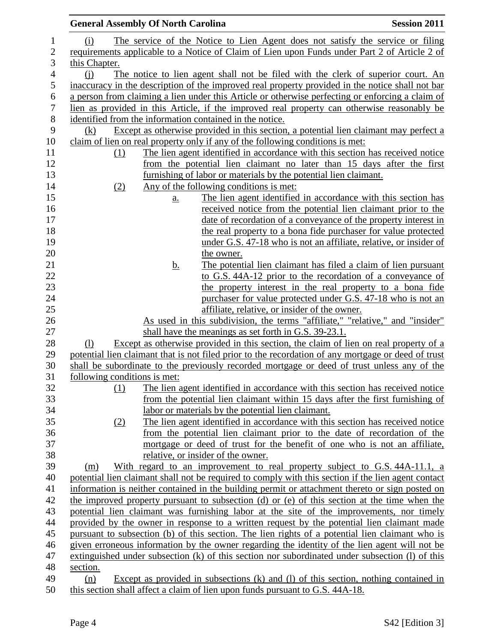| <b>General Assembly Of North Carolina</b> |           |                                                                                                                                                | <b>Session 2011</b> |
|-------------------------------------------|-----------|------------------------------------------------------------------------------------------------------------------------------------------------|---------------------|
| (i)                                       |           | The service of the Notice to Lien Agent does not satisfy the service or filing                                                                 |                     |
|                                           |           | requirements applicable to a Notice of Claim of Lien upon Funds under Part 2 of Article 2 of                                                   |                     |
| this Chapter.                             |           |                                                                                                                                                |                     |
| (i)                                       |           | The notice to lien agent shall not be filed with the clerk of superior court. An                                                               |                     |
|                                           |           | inaccuracy in the description of the improved real property provided in the notice shall not bar                                               |                     |
|                                           |           | a person from claiming a lien under this Article or otherwise perfecting or enforcing a claim of                                               |                     |
|                                           |           | lien as provided in this Article, if the improved real property can otherwise reasonably be                                                    |                     |
|                                           |           | identified from the information contained in the notice.                                                                                       |                     |
| (k)                                       |           | Except as otherwise provided in this section, a potential lien claimant may perfect a                                                          |                     |
|                                           |           | claim of lien on real property only if any of the following conditions is met:                                                                 |                     |
| (1)                                       |           | The lien agent identified in accordance with this section has received notice                                                                  |                     |
|                                           |           | from the potential lien claimant no later than 15 days after the first                                                                         |                     |
|                                           |           | furnishing of labor or materials by the potential lien claimant.                                                                               |                     |
| (2)                                       |           | Any of the following conditions is met:                                                                                                        |                     |
|                                           | <u>a.</u> | The lien agent identified in accordance with this section has                                                                                  |                     |
|                                           |           | received notice from the potential lien claimant prior to the                                                                                  |                     |
|                                           |           | date of recordation of a conveyance of the property interest in                                                                                |                     |
|                                           |           | the real property to a bona fide purchaser for value protected                                                                                 |                     |
|                                           |           | under G.S. 47-18 who is not an affiliate, relative, or insider of                                                                              |                     |
|                                           |           | the owner.                                                                                                                                     |                     |
|                                           | <u>b.</u> | The potential lien claimant has filed a claim of lien pursuant                                                                                 |                     |
|                                           |           | to G.S. 44A-12 prior to the recordation of a conveyance of                                                                                     |                     |
|                                           |           | the property interest in the real property to a bona fide                                                                                      |                     |
|                                           |           | purchaser for value protected under G.S. 47-18 who is not an                                                                                   |                     |
|                                           |           | affiliate, relative, or insider of the owner.                                                                                                  |                     |
|                                           |           | As used in this subdivision, the terms "affiliate," "relative," and "insider"                                                                  |                     |
| (1)                                       |           | shall have the meanings as set forth in G.S. 39-23.1.<br>Except as otherwise provided in this section, the claim of lien on real property of a |                     |
|                                           |           | potential lien claimant that is not filed prior to the recordation of any mortgage or deed of trust                                            |                     |
|                                           |           | shall be subordinate to the previously recorded mortgage or deed of trust unless any of the                                                    |                     |
| following conditions is met:              |           |                                                                                                                                                |                     |
| (1)                                       |           | The lien agent identified in accordance with this section has received notice                                                                  |                     |
|                                           |           | from the potential lien claimant within 15 days after the first furnishing of                                                                  |                     |
|                                           |           | labor or materials by the potential lien claimant.                                                                                             |                     |
| (2)                                       |           | The lien agent identified in accordance with this section has received notice                                                                  |                     |
|                                           |           | from the potential lien claimant prior to the date of recordation of the                                                                       |                     |
|                                           |           | mortgage or deed of trust for the benefit of one who is not an affiliate,                                                                      |                     |
|                                           |           | relative, or insider of the owner.                                                                                                             |                     |
| (m)                                       |           | With regard to an improvement to real property subject to G.S. 44A-11.1, a                                                                     |                     |
|                                           |           | potential lien claimant shall not be required to comply with this section if the lien agent contact                                            |                     |
|                                           |           | information is neither contained in the building permit or attachment thereto or sign posted on                                                |                     |
|                                           |           | the improved property pursuant to subsection (d) or (e) of this section at the time when the                                                   |                     |
|                                           |           | potential lien claimant was furnishing labor at the site of the improvements, nor timely                                                       |                     |
|                                           |           | provided by the owner in response to a written request by the potential lien claimant made                                                     |                     |
|                                           |           | pursuant to subsection (b) of this section. The lien rights of a potential lien claimant who is                                                |                     |
|                                           |           | given erroneous information by the owner regarding the identity of the lien agent will not be                                                  |                     |
|                                           |           | extinguished under subsection (k) of this section nor subordinated under subsection (l) of this                                                |                     |
| section.                                  |           |                                                                                                                                                |                     |
| (n)                                       |           | Except as provided in subsections $(k)$ and $(l)$ of this section, nothing contained in                                                        |                     |
|                                           |           | this section shall affect a claim of lien upon funds pursuant to G.S. 44A-18.                                                                  |                     |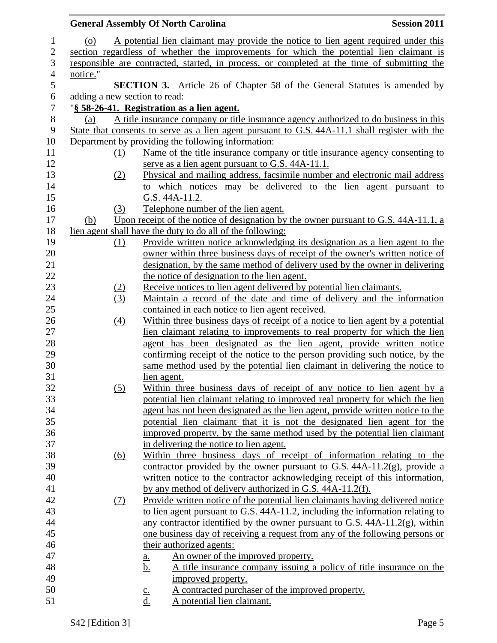|            | <b>Session 2011</b><br><b>General Assembly Of North Carolina</b>                                                                                             |
|------------|--------------------------------------------------------------------------------------------------------------------------------------------------------------|
| (0)        | A potential lien claimant may provide the notice to lien agent required under this                                                                           |
|            | section regardless of whether the improvements for which the potential lien claimant is                                                                      |
|            | responsible are contracted, started, in process, or completed at the time of submitting the                                                                  |
| notice."   |                                                                                                                                                              |
|            | <b>SECTION 3.</b> Article 26 of Chapter 58 of the General Statutes is amended by                                                                             |
|            | adding a new section to read:                                                                                                                                |
|            | "§ 58-26-41. Registration as a lien agent.                                                                                                                   |
| (a)        | A title insurance company or title insurance agency authorized to do business in this                                                                        |
|            | State that consents to serve as a lien agent pursuant to G.S. 44A-11.1 shall register with the                                                               |
|            | Department by providing the following information:                                                                                                           |
| (1)        | Name of the title insurance company or title insurance agency consenting to                                                                                  |
|            | serve as a lien agent pursuant to G.S. 44A-11.1.                                                                                                             |
| (2)        | Physical and mailing address, facsimile number and electronic mail address                                                                                   |
|            | to which notices may be delivered to the lien agent pursuant to                                                                                              |
|            | G.S. 44A-11.2.                                                                                                                                               |
| (3)        | Telephone number of the lien agent.                                                                                                                          |
| <u>(b)</u> | Upon receipt of the notice of designation by the owner pursuant to G.S. 44A-11.1, a                                                                          |
|            | lien agent shall have the duty to do all of the following:                                                                                                   |
| (1)        | Provide written notice acknowledging its designation as a lien agent to the                                                                                  |
|            | owner within three business days of receipt of the owner's written notice of                                                                                 |
|            | designation, by the same method of delivery used by the owner in delivering                                                                                  |
|            | the notice of designation to the lien agent.                                                                                                                 |
| (2)        | Receive notices to lien agent delivered by potential lien claimants.                                                                                         |
| (3)        | Maintain a record of the date and time of delivery and the information                                                                                       |
|            | contained in each notice to lien agent received.                                                                                                             |
| (4)        | Within three business days of receipt of a notice to lien agent by a potential<br>lien claimant relating to improvements to real property for which the lien |
|            | agent has been designated as the lien agent, provide written notice                                                                                          |
|            | confirming receipt of the notice to the person providing such notice, by the                                                                                 |
|            | same method used by the potential lien claimant in delivering the notice to                                                                                  |
|            | lien agent.                                                                                                                                                  |
| (5)        | Within three business days of receipt of any notice to lien agent by a                                                                                       |
|            | potential lien claimant relating to improved real property for which the lien                                                                                |
|            | agent has not been designated as the lien agent, provide written notice to the                                                                               |
|            | potential lien claimant that it is not the designated lien agent for the                                                                                     |
|            | improved property, by the same method used by the potential lien claimant                                                                                    |
|            | in delivering the notice to lien agent.                                                                                                                      |
| (6)        | Within three business days of receipt of information relating to the                                                                                         |
|            | contractor provided by the owner pursuant to G.S. $44A-11.2(g)$ , provide a                                                                                  |
|            | written notice to the contractor acknowledging receipt of this information,                                                                                  |
|            | by any method of delivery authorized in G.S. 44A-11.2(f).                                                                                                    |
| (7)        | <u>Provide written notice of the potential lien claimants having delivered notice</u>                                                                        |
|            | to lien agent pursuant to G.S. 44A-11.2, including the information relating to                                                                               |
|            | any contractor identified by the owner pursuant to G.S. $44A-11.2(g)$ , within                                                                               |
|            | one business day of receiving a request from any of the following persons or                                                                                 |
|            | their authorized agents:                                                                                                                                     |
|            | An owner of the improved property.<br><u>a.</u>                                                                                                              |
|            | A title insurance company issuing a policy of title insurance on the<br><u>b.</u>                                                                            |
|            | improved property.                                                                                                                                           |
|            | A contracted purchaser of the improved property.<br>$\underline{c}$ .                                                                                        |
|            | A potential lien claimant.<br>d.                                                                                                                             |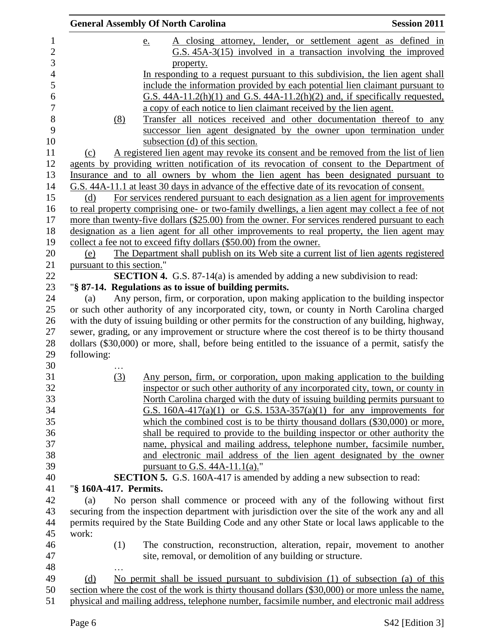|                            | <b>General Assembly Of North Carolina</b>                                                                                                                                                            | <b>Session 2011</b> |
|----------------------------|------------------------------------------------------------------------------------------------------------------------------------------------------------------------------------------------------|---------------------|
|                            | A closing attorney, lender, or settlement agent as defined in<br>e.                                                                                                                                  |                     |
|                            | $G.S. 45A-3(15)$ involved in a transaction involving the improved<br>property.                                                                                                                       |                     |
|                            | In responding to a request pursuant to this subdivision, the lien agent shall                                                                                                                        |                     |
|                            | include the information provided by each potential lien claimant pursuant to                                                                                                                         |                     |
|                            | $G.S. 44A-11.2(h)(1)$ and $G.S. 44A-11.2(h)(2)$ and, if specifically requested,                                                                                                                      |                     |
|                            | a copy of each notice to lien claimant received by the lien agent.                                                                                                                                   |                     |
| (8)                        | Transfer all notices received and other documentation thereof to any                                                                                                                                 |                     |
|                            | successor lien agent designated by the owner upon termination under                                                                                                                                  |                     |
|                            | subsection (d) of this section.                                                                                                                                                                      |                     |
| (c)                        | A registered lien agent may revoke its consent and be removed from the list of lien<br>agents by providing written notification of its revocation of consent to the Department of                    |                     |
|                            | Insurance and to all owners by whom the lien agent has been designated pursuant to                                                                                                                   |                     |
|                            | G.S. 44A-11.1 at least 30 days in advance of the effective date of its revocation of consent.                                                                                                        |                     |
| (d)                        | For services rendered pursuant to each designation as a lien agent for improvements                                                                                                                  |                     |
|                            | to real property comprising one- or two-family dwellings, a lien agent may collect a fee of not                                                                                                      |                     |
|                            | more than twenty-five dollars (\$25.00) from the owner. For services rendered pursuant to each                                                                                                       |                     |
|                            | designation as a lien agent for all other improvements to real property, the lien agent may                                                                                                          |                     |
|                            | collect a fee not to exceed fifty dollars (\$50.00) from the owner.                                                                                                                                  |                     |
| (e)                        | The Department shall publish on its Web site a current list of lien agents registered                                                                                                                |                     |
| pursuant to this section." |                                                                                                                                                                                                      |                     |
|                            | <b>SECTION 4.</b> G.S. 87-14(a) is amended by adding a new subdivision to read:                                                                                                                      |                     |
|                            | "§ 87-14. Regulations as to issue of building permits.                                                                                                                                               |                     |
| (a)                        | Any person, firm, or corporation, upon making application to the building inspector                                                                                                                  |                     |
|                            | or such other authority of any incorporated city, town, or county in North Carolina charged                                                                                                          |                     |
|                            | with the duty of issuing building or other permits for the construction of any building, highway,                                                                                                    |                     |
|                            | sewer, grading, or any improvement or structure where the cost thereof is to be thirty thousand<br>dollars (\$30,000) or more, shall, before being entitled to the issuance of a permit, satisfy the |                     |
| following:                 |                                                                                                                                                                                                      |                     |
|                            |                                                                                                                                                                                                      |                     |
| (3)                        | Any person, firm, or corporation, upon making application to the building                                                                                                                            |                     |
|                            | inspector or such other authority of any incorporated city, town, or county in                                                                                                                       |                     |
|                            | North Carolina charged with the duty of issuing building permits pursuant to                                                                                                                         |                     |
|                            | G.S. $160A-417(a)(1)$ or G.S. $153A-357(a)(1)$ for any improvements for                                                                                                                              |                     |
|                            | which the combined cost is to be thirty thousand dollars $(\$30,000)$ or more,                                                                                                                       |                     |
|                            | shall be required to provide to the building inspector or other authority the                                                                                                                        |                     |
|                            | name, physical and mailing address, telephone number, facsimile number,                                                                                                                              |                     |
|                            | and electronic mail address of the lien agent designated by the owner                                                                                                                                |                     |
|                            | pursuant to G.S. $44A-11.1(a)$ ."                                                                                                                                                                    |                     |
|                            | SECTION 5. G.S. 160A-417 is amended by adding a new subsection to read:                                                                                                                              |                     |
| "§ 160A-417. Permits.      |                                                                                                                                                                                                      |                     |
| (a)                        | No person shall commence or proceed with any of the following without first                                                                                                                          |                     |
|                            | securing from the inspection department with jurisdiction over the site of the work any and all                                                                                                      |                     |
|                            | permits required by the State Building Code and any other State or local laws applicable to the                                                                                                      |                     |
| work:                      |                                                                                                                                                                                                      |                     |
| (1)                        | The construction, reconstruction, alteration, repair, movement to another                                                                                                                            |                     |
|                            | site, removal, or demolition of any building or structure.                                                                                                                                           |                     |
|                            |                                                                                                                                                                                                      |                     |
| (d)                        | No permit shall be issued pursuant to subdivision (1) of subsection (a) of this                                                                                                                      |                     |
|                            | section where the cost of the work is thirty thousand dollars (\$30,000) or more unless the name,                                                                                                    |                     |
|                            | physical and mailing address, telephone number, facsimile number, and electronic mail address                                                                                                        |                     |